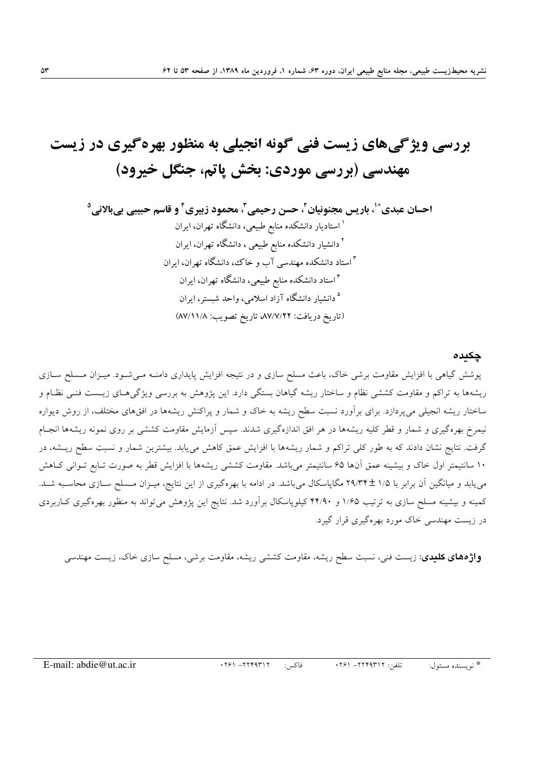#### چکىدە

پوشش گیاهی با افزایش مقاومت برشی خاک، باعث مسلح سازی و در نتیجه افزایش پایداری دامنـه مـیشـود. میـزان مـسلح سـازی ریشهها به تراکم و مقاومت کششی نظام و ساختار ریشه گیاهان بستگی دارد. این پژوهش به بررسی ویژگیهـای زیــست فنــی نظــام و ساختار ریشه انجیلی میپردازد. برای برآورد نسبت سطح ریشه به خاک و شمار و پراکنش ریشهها در افقهای مختلف، از روش دیواره نیمرخ بهرهگیری و شمار و قطر کلیه ریشهها در هر افق اندازهگیری شدند. سپس آزمایش مقاومت کششی بر روی نمونه ریشهها انجـام گرفت. نتایج نشان دادند که به طور کلی تراکم و شمار ریشهها با افزایش عمق کاهش مییابد. بیشترین شمار و نسبت سطح ریـشه، در ۱۰ سانتیمتر اول خاک و بیشینه عمق آنها ۶۵ سانتیمتر میباشد. مقاومت کششی ریشهها با افزایش قطر به صورت تـابع تـوانی کـاهش می یابد و میانگین آن برابر با ۲۹/۳۴ ± ۲۹/۳۴ مگاپاسکال میباشد. در ادامه با بهرهگیری از این نتایج، میــزان مــسلح ســازی محاســبه شــد. کمینه و بیشینه مسلح سازی به ترتیب ۱/۶۵ و ۴۴/۹۰ کیلوپاسکال برآورد شد. نتایج این پژوهش میتواند به منظور بهرهگیری کـاربردی در زیست مهندسی خاک مورد بهرهگیری قرار گیرد.

**واژههای کلیدی**: زیست فنی، نسبت سطح ریشه، مقاومت کششی ریشه، مقاومت برشی، مسلح سازی خاک، زیست مهندسی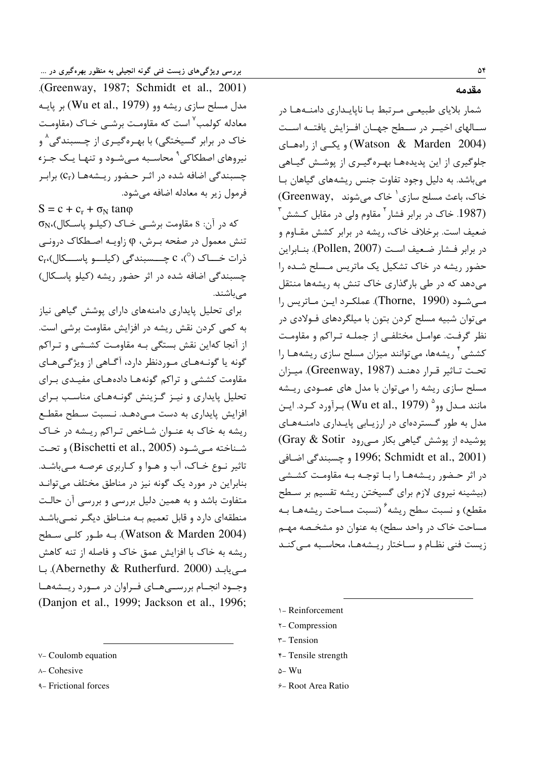بررسی ویژگیهای زیست فنی گونه انجیلی به منظور بهرهگیری در … ۵۴ میں اور سی مسلمان اور اس کا انتخاب اور اس کا انتخاب اور اس کا انتخاب اور اس کا انتخاب اور اس کا انتخاب اور .(Greenway, 1987; Schmidt et al., 2001) .<br>مدل مسلح سازی ریشه وو (Wu et al., 1979) بر پایـه معادله کولمب<sup>۷</sup> است که مقاومت د شــ خـاک (مقاومـت .<br>خاک د. برابر گسختگر) با بهه هگیری از جیسندگر <sup>۸</sup> و ن وهای اصطکاکی<sup>۹</sup> محاسبه مهرشود و تنها یک جن<sup>ء</sup> چسبندگی اضافه شده در اثـر حـضور ریـشههـا (Cr) برابـر

.<br>فرمول: بر به معادله اضافه مے شود.

 $S = c + c_r + \sigma_N \tan\varphi$  $\sigma_\mathrm{N^\ast}$ که در آن: S مقاومت برشـی خـاک (کیلـو پاسـکال) تنش معمول در صفحه بـرش، φ زاویـه اصـطکاک درونـی .<br>درات خــــاک (°)، c چــــسبندگی (کیلــــو پاســـکال)،c حسیندگی اضافه شده د. اثر حضور ریشه (کیلو باسیکال) مے باشند.

دای تحلیل بایداری دامنههای دارای بوشش گیاه*ی ن*یاز به کمي کردن نقش ، بشه در افزايش مقاومت برشي است. از آنجا کهاین نقش بستگی بیه مقاومت کشیشی و تبراکم گونه با گونـههـای مـوردنظر دارد، آگـاهـ از ویژگــ هـای مقاومت کششی و تراک<sub>ه</sub> گونههـا دادههـای مفــدی ب۱ی .<br>تحلیل بایداری و نیز گزینش گونیههای مناسب برای افزایش بایداری به دست میردهید. نیست سیطح مقطع , بشه به خاک به عنـوان شـاخص تـراکم , بـشه د, خـاک شـناخته مـيشـود (Bischetti et al., 2005) و تحـت .<br>تاثیر نبوع خباک، آب و هیوا و کباردی عرصه میرباشید. بنادان د. مورد یک گونه نیز در مناطق مختلف میتوانید متفاوت باشد و به همین دلیل بررسی و بررسی آن حالیت منطقهای دارد و قابل تعمیم بیه منباطق دیگ نمبریاشید به طور كلبى سبطح (Watson & Marden 2004). . بشه به خاک با افزایش عمق خاک و فاصله از تنه کاهش مے یابـد (Abernethy & Rutherfurd. 2000). بـا وحــود انحــام بي ســـ هــاي فــراوان در مــورد ريــشههــا (Danjon et al., 1999; Jackson et al., 1996;

v- Coulomb equation

l

- $\land$  Cohesive
- Frictional forces

#### مقدمه

شمار بلایای طبیعی می**تیط ب**ا ناباییداری دامنیهها در ســالفاي اخب در ســطح حفــان افــزايش بافتــه اســت (Watson & Marden 2004) ویکسی از راههسای ۔<br>حلوگتری از ابن بدیدہھیا تھے وگتری از پوشش گیتاهی می باشد. به دلیل وجود تفاوت جنس ریشههای گیاهان بیا .<br>خاک، باعث مسلح سازی<sup>۱</sup> خاک میشوند ,Greenway) .<br>(1987. خاک در برابر فشار<sup>۲</sup> مقاوم ولی در مقابل کــشش<sup>۳</sup> ضعیف است. برخلاف خاک، , بشه د. برابر کشش مقیاوم و در برابر فــشار ضـعيف اسـت (Pollen, 2007). بنـابراين حضوں شدہ در خاک تشکیل یک ماتریس مسلح شیدہ را مردهد که در طے بارگذاری خاک تنش به ریشهها منتقل مـي شـود (Thorne, 1990). عملكـرد ايـن مـاتريس را می توان شیبه مسلح کردن پتون با مبلگردهای فیولادی در نظ گرفت. عوامــا مختلفــر از حملــه تــاكم و مقاومــت کششے گی بشهها، می توانند میزان مسلح سازی ، بشههـا ، ا تحت تـاثير قـرار دهنـد (Greenway, 1987). ميـزان مسلح سازی ریشه را می توان با مدار ها*ی* عمـود*ی* ریـشه سانند مـدل وو<sup>۵</sup> (Wu et al., 1979) بـرآورد كـرد. ايـن مدل به طور گستردهای در آن بیابی باییداری دامنیههیای  $\left( \mathrm{Gray} \ \& \ \mathrm{Sotir} \ \right)$ یوشیده از یوشش گیاهی بکار مـی $_{\alpha}$ ود &-@ .7Q + 1996; Schmidt et al., 2001) د. اثر حیضوں سشه هیا را بیا توجیه بیه مقاومت کشیشی (بیشینه نیروی لازم برای گسیختن ریشه تقسیم بر سیطح مقطع) و نسبت سطح , بشه <sup>۶</sup> (نسبت مساحت , بشههـا بـه مساحت خاک د. واحد سطح) به عنوان دو مشخـصه مهـم .<br>نست فني نظـام و سـاختار ، بـشههـا، محاسـبه مــ كنــد

Reinforcement

l

- **r-Compression**
- $\tau$  Tension
- $x$  Tensile strength
- $\Delta W$ u
- Root Area Ratio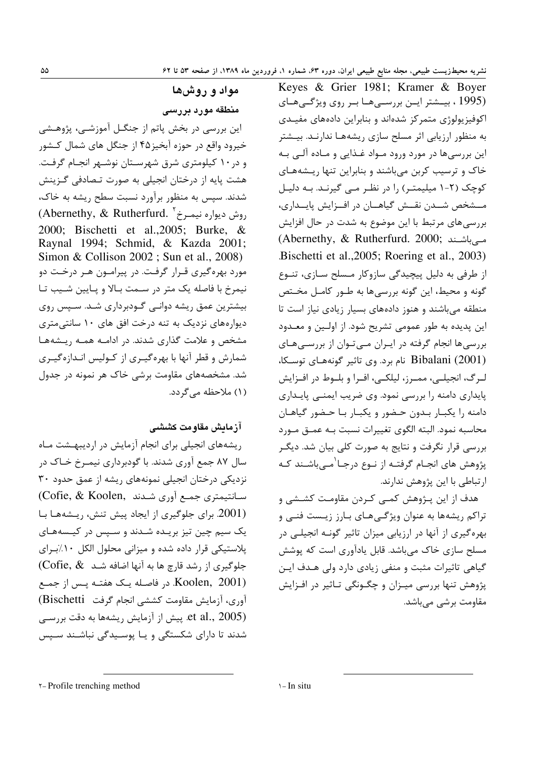Keyes & Grier 1981; Kramer & Boyer (1995 ، بیــشتر ایــن بررســیهــا بــر روی ویژگــیهــای اکوفیزیولوژی متمرکز شدهاند و بنابراین دادههای مفیـدی به منظور ارزیابی اثر مسلح سازی ریشههـا ندارنـد. بیـشتر این بررسیها در مورد ورود مـواد غـذایی و مـاده آلـی بـه خاک و ترسیب کربن میباشند و بنابراین تنها ریشههای کوچک (۲-۱ میلیمتر) را در نظر مے گیرنـد. بـه دلیـل مــشخص شــدن نقــش گیاهــان در افــزایش پایــداری، بررسیهای مرتبط با این موضوع به شدت در حال افزایش (Abernethy, & Rutherfurd. 2000; مہیباشند Bischetti et al., 2005; Roering et al., 2003). از طرفی به دلیل پیچیدگی سازوکار مـسلح سـازی، تنـوع گونه و محیط، این گونه بررسیها به طـور کامـل مخـتص منطقه می باشند و هنوز دادههای بسیار زیادی نیاز است تا این پدیده به طور عمومی تشریح شود. از اولین و معـدود بررسی ها انجام گرفته در ایـران مـی تـوان از بررسـی هـای (2001) Bibalani نام برد. وی تاثیر گونههـای توسـكا، لـرگ، انجيلــي، ممــرز، ليلكــي، افــرا و بلــوط در افــزايش پایداری دامنه را بررسی نمود. وی ضریب ایمنـی پایـداری دامنه را یکبـار بـدون حـضور و یکبـار بـا حـضور گیاهـان محاسبه نمود. البته الگوی تغییرات نسبت بـه عمـق مـورد بررسی قرار نگرفت و نتایج به صورت کلی بیان شد. دیگـر پژوهش های انجــام گرفتــه از نــوع درجــا<sup>\</sup>مــ<sub>ي ب</sub>اشــند کــه ارتباطی با این پژوهش ندارند.

هدف از این پـژوهش کمـی کـردن مقاومـت کشـشی و تراکم ریشهها به عنوان ویژگے هـای بـارز زیـست فنـی و بهره گیری از آنها در ارزیابی میزان تاثیر گونـه انجیلـی در مسلح سازی خاک میباشد. قابل یادآوری است که پوشش گیاهی تاثیرات مثبت و منفی زیادی دارد ولی هـدف ایـن پژوهش تنها بررسی میـزان و چگـونگی تـاثیر در افـزایش مقاومت برشي ميباشد.

مواد و روشها منطقه مورد بررسی

این بررسی در بخش پاتم از جنگــل آموزشــی، پژوهــشی خیرود واقع در حوزه آبخیز۴۵ از جنگل های شمال کـشور و در ۱۰ کیلومتری شرق شهرستان نوشیهر انجبام گرفت. هشت پایه از درختان انجیلی به صورت تصادفی گـزینش شدند. سپس به منظور برآورد نسبت سطح ریشه به خاک، (Abernethy, & Rutherfurd.  $\bar{y}$ روش دیواره نیمـرخ) 2000; Bischetti et al., 2005; Burke, & Ravnal 1994: Schmid. & Kazda 2001: Simon & Collison 2002; Sun et al., 2008) مورد بهره گیری قـرار گرفـت. در پیرامـون هـر درخـت دو نیمرخ با فاصله یک متر در سـمت بـالا و پـایین شـیب تـا بیشترین عمق ریشه دوانـی گـودبرداری شـد. سـپس روی دیوار مهای نزدیک به تنه درخت افق های ۱۰ سانتی متری مشخص و علامت گذاری شدند. در ادامـه همـه ریـشههـا شمارش و قطر آنها با بهرهگیـری از کـولیس انـدازهگیـری شد. مشخصههای مقاومت برشی خاک هر نمونه در جدول (۱) ملاحظه مے گردد.

## آزمايش مقاومت كششى

ریشههای انجیلی برای انجام آزمایش در اردیبهشت ماه سال ۸۷ جمع آوری شدند. با گودبرداری نیمـرخ خـاک در نزدیکی درختان انجیلی نمونههای ریشه از عمق حدود ۳۰ سانتيمتري جمع أورى شدند ,Cofie, & Koolen) (2001. برای جلوگیری از ایجاد پیش تنش، ریشهها با یک سیم چین تیز بریـده شـدند و سـپس در کیـسههـای پلاستیکی قرار داده شده و میزانی محلول الکل ۱۰٪برای جلوگیری از رشد قارچ ها به آنها اضافه شـد Cofie, & (Koolen, 2001. در فاصله یک هفتـه پـس از جمـع آوري، آزمايش مقاومت كششى انجام گرفت Bischetti) et al., 2005). پیش از آزمایش ریشهها به دقت بررسی شدند تا دارای شکستگی و یـا پوسـیدگی نباشـند سـپس

**Y**-Profile trenching method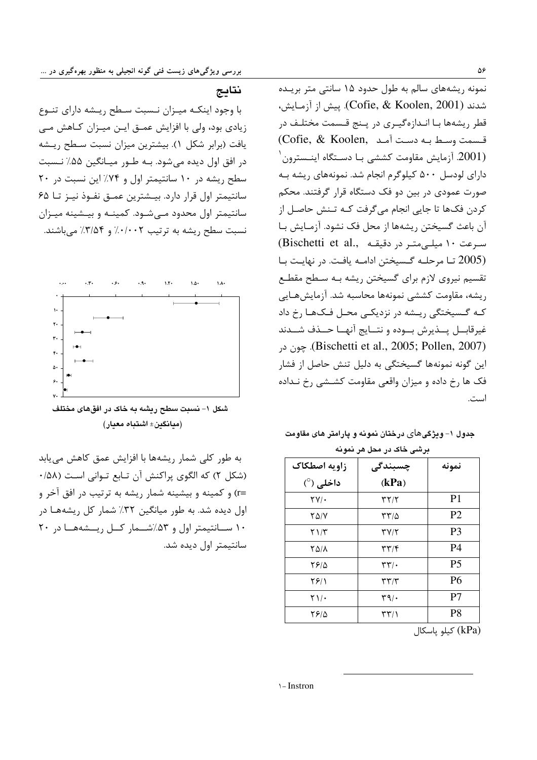نتايج

ا وجود ابنکـه مـــزان نـسبت سـطح ، بـشه دارای تنـوع J .<br>ديادي بود، ولي با افزايش عميق ابن ميزان كياهش مي .<br>بافت (برایر شکل ۱). بیشترین میزان نسبت سیطح ریشه د. افق اول دیده می شود. بـه طـور میبانگین ۵۵٪ نـسبت سطح ، بشه د. ۱۰ سانتیمتراول و ۷۴٪ این نسبت د. ۲۰ سانتیمتر اول قرار دارد. بیسشترین عمیق نفیوذ نیبز تبا ۶۵ سانتیمتر اول محدود می شیود. کمینیه و پیشینه میتان .<br>نسبت سطح , بشه به ترتیب ۰/۰/۰۰۲ و ۳/۵۴٪ مرباشند.



شکل ۱– نسبت سطح ریشه به خاک در افقهای مختلف (مبانگین± اشتیاه معیا<sub>ل</sub>)

به طور کلی شمار ریشهها با افزایش عمق کاهش می باید .<br>(شکل ۲) که الگوی داکنش آن تـابع تـواني اسـت (۵۸/۰ =r) و کمینه و بیشینه شمار ریشه به ترتیب در افق آخر و اول دیده شد. به طور میانگین ۳۲٪ شمار کل ریشهها در ۱۰ سیانتیمتراول و ۵۳٪شیما، کیا ، سشههیا د. ۲۰ سانتیمت اول دیده شد. نمونه ، بشههای سالم به طول حدود ۱۵ سانتی متر بر بده شدند (Cofie, & Koolen, 2001). ييش از آزمـايش، قط ، بشهها بــا انــدا: وگب ی در بــنج قـبسمت مختلـف در (Cofie, & Koolen, P ' + '7L .<br>(2001. آزمایش مقاومت کششی بـا دســتگاه اینــسترون <sup>۱</sup> دارای لودسا ۵۰۰ کیلوگ م انجام شد. نمونههای ریشه ب صورت عمود*ی در بین دو فک دستگاه ق*ار گرفتند. محکم ی دن فکرا تا جایی انجام م*ی گ*افت کیه تبنش حاصل از .<br>أن باعث گسيختن ريشهها از محل فک نشود. آزميايش بيا (Bischetti et al., اسرعت ١٠ ميلي متر در دقيقـه (2005 تــا مرحلــه گــسيختن ادامــه يافــت. در نهايــت بــا تقسیم نیروی لازم برای گسیختن ریشه بیه سیطح مقطع , بشه، مقاومت کششے نمونهها محاسبه شد. آزمایش هیابی کـه گــسبختگـر ، پـشه د. نزدیکــر محــل فـکـهــا ،خ داد .<br>غيرقابيل سنديرش سوده و نتسابح أنهيا حيدف شيدند /Q .(Bischetti et al., 2005; Pollen, 2007) .<br>این گونه نمونهها گسیختگی به دلیل تنش حاصل از فشار فک ها ، خ داده و میزان واقعی مقاومت کشیشی ، خ نیداده است.

جدول ۱– ویژگیهای درختان نمونه و پارامتر های مقاومت برشی خاک در محل هر نمونه

| چسبندگی                              | نمونه          |
|--------------------------------------|----------------|
| (kPa)                                |                |
| ۳۲/۲                                 | P <sub>1</sub> |
| ۳۳/۵                                 | P <sub>2</sub> |
| $\mathbf{Y} \mathbf{Y} / \mathbf{Y}$ | P <sub>3</sub> |
| $\mathbf{y}(\mathbf{y})$             | P <sub>4</sub> |
| $\mathbf{y} - \mathbf{y}$            | P <sub>5</sub> |
| $\mathbf{y}(\mathbf{x})$             | P <sub>6</sub> |
| $\mathbf{Y}^{\mathsf{q}}$ .          | P7             |
| ۳۳/۱                                 | P8             |
|                                      |                |

(kPa) كيلو پاسكال

 $\overline{a}$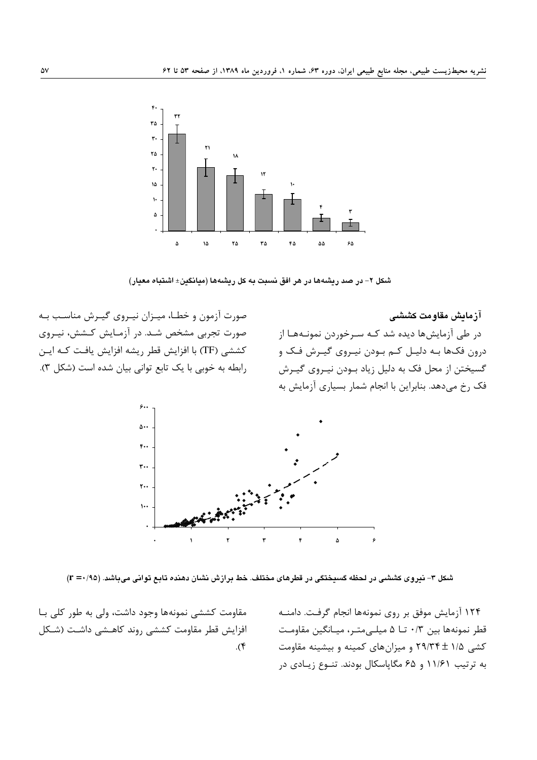

شکل ۲– در صد ریشهها در هر افق نسبت به کل ریشهها (میانگین± اشتباه معیار)

آزمايش مقاومت كششى در طی آزمایشها دیده شد کـه سـرخوردن نمونـههـا از درون فکھا بـه دليـل کـم بـودن نيـروي گيـرش فـک و گسیختن از محل فک به دلیل زیاد بودن نیـروی گیـرش فک رخ میدهد. بنابراین با انجام شمار بسیاری آزمایش به

صورت آزمون و خطـا، میـزان نیـروی گیـرش مناسـب بـه صورت تجربی مشخص شـد. در آزمـایش کـشش، نیـروی كششي (TF) با افزايش قطر ريشه افزايش يافـت كــه ايـن رابطه به خوبی با یک تابع توانی بیان شده است (شکل ۳).



شکل ۳- نیروی کششی در لحظه گسیختگی در قطرهای مختلف. خط برازش نشان دهنده تابع توانی میباشد. (۳ =۰/۹۵)

مقاومت کششی نمونهها وجود داشت، ولی به طور کلی با افزایش قطر مقاومت کششی روند کاهـشی داشـت (شـکل  $\mathcal{A}$ 

۱۲۴ آزمایش موفق بر روی نمونهها انجام گرفت. دامنــه قطر نمونهها بين ٠/٣ تــا ۵ ميلــي متـر، ميــانگين مقاومـت کشی ۱/۵ ± ۲۹/۳۴ و میزانهای کمینه و بیشینه مقاومت به ترتیب ۱۱/۶۱ و ۶۵ مگاپاسکال بودند. تنوع زیـادی در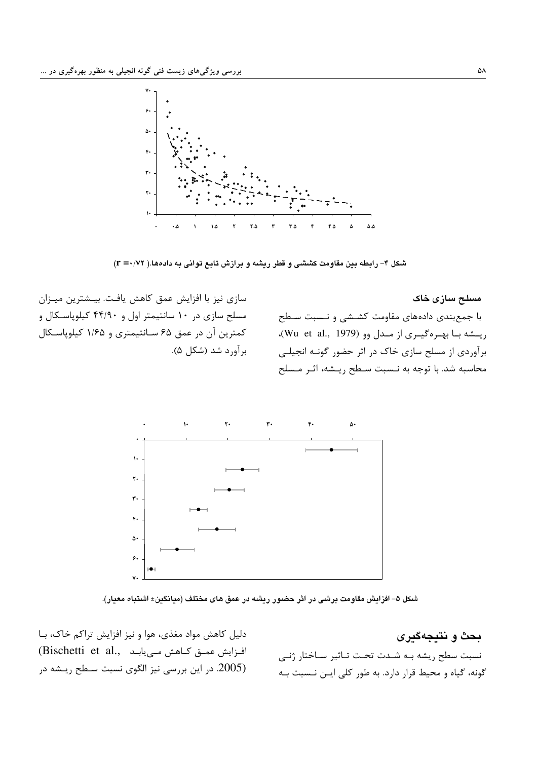

شکل ۴- رابطه بین مقاومت کششی و قطر ریشه و برازش تابع توانی به دادهها.( ۳ =۰/۷۲)

مسلح سازی خاک با جمع بندی دادههای مقاومت کشـشی و نـسبت سـطح ریسشه بـا بهـرهگیــری از مــدل وو (Wu et al., 1979)، برآوردی از مسلح سازی خاک در اثر حضور گونـه انجیلـی محاسبه شد. با توجه به نـسبت سـطح ريـشه، اثـر مـسلح

سازی نیز با افزایش عمق کاهش یافت. بیـشترین میـزان مسلح سازی در ۱۰ سانتیمتر اول و ۴۴/۹۰ کیلوپاسکال و كمترين آن در عمق ۶۵ سـانتيمتري و ۱/۶۵ كيلوياسـكال برآورد شد (شکل ۵).



شکل ۵– افزایش مقاومت برشی در اثر حضور ریشه در عمق های مختلف (میانگین± اشتباه معیار).

دلیل کاهش مواد مغذی، هوا و نیز افزایش تراکم خاک، با افزايش عمـق كـاهش مـىيابـد Bischetti et al., (2005. در این بررسی نیز الگوی نسبت سـطح ریـشه در

نسبت سطح ریشه بـه شـدت تحـت تـاثیر سـاختار ژنـی گونه، گیاه و محیط قرار دارد. به طور کلی این نسبت بـه

بحث و نتيجهگيري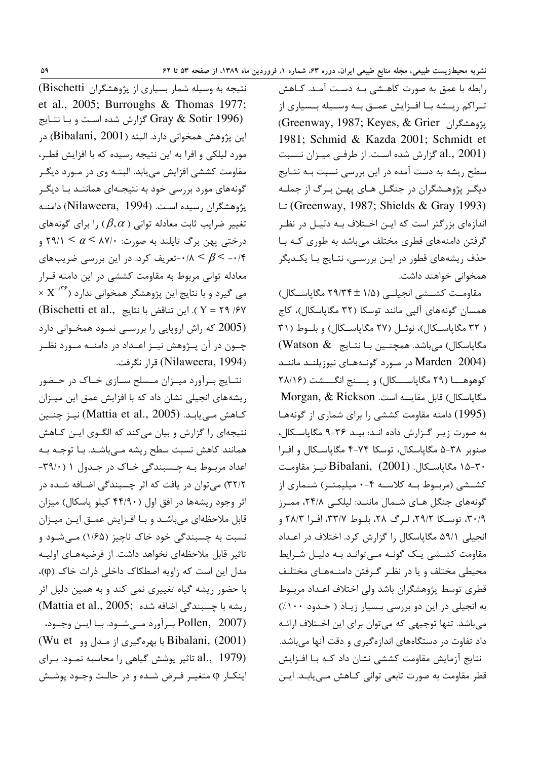.<br>انطه با عمق به صورت کاهـشے بـه دسـت آمـد. کــاهش ت اکم ، بیشه بیا افزایش عمیق بیه وسیله بیسیاری از (Greenway, 1987; Keyes, & Grier في وهشكران) 1981; Schmid & Kazda 2001; Schmidt et al., 2001) گزارش شده است. از طرفـی میـزان نــسبت سطح ، بشه به دست آمده د. این بی سی نسبت بیه نتبایج دیگ بژوهیشگران در جنگیل هیای بهتن برگ از جملیه - (Greenway, 1987; Shields & Gray 1993) اندا:وای بزرگتر است که ابن اختلاف بیه دلیبل در نظ گرفتن دامنههای قطری مختلف می باشد به طوری کـه بـا حذف رشههای قطور در اب<sup>.</sup>ر بررسه ، نتبایج بیا یکیدیگر همخوانی خواهند داشت.

مقاومــت كشــشى انجيلــى (١/۵ ± ٢٩/٣۴ مگاپاســكال) ممسان گونههای آلبی مانند توسکا (۳۲ مگاباسکال)، کاج ( ۳۲ مگاباسیکال)، نوئیل (۲۷ مگاباسیکال) و بلیوط (۳۱ مگاياسكال) مىباشد. ھمچنــين بـا نتـايج & Watson) در مورد گونـههـای نیوزیلنـد ماننـد Marden 2004) کوهوهـــا (۲۹ مگاباســـکال) و بـــنج انگــــشت (۲۸/۱۶ مگایاسکال) قابل مقایسه است. Morgan, & Rickson .<br>(1995) دامنه مقاومت کششی را برای شماری از گونههـا به صورت زیبر گذارش داده انید: بیند ۳۶-۹ مگایاستکال، صنوب ۳۸-۵ مگاباسکال، توسکا ۷۴-۴ مگاباسـکال و افI '+-= % Bibalani, (2001) .O-F--G iq hyr کشیشی (مربوط بیه کلاسیه ۴-۰ میلیمت) شیماری از گونههای جنگار هیای شیمال ماننید: لیلکس ۲۴/۸، ممب: ۰۲۰/۹، توسکا ۲۹/۲، ل گ ۲۸، بلـوط ۳۳/۷، افرا ۲۸/۲ و انحیلی ۵۹/۱ مگاباسکال را گزارش کرد. اختلاف در اعبداد مقاومت کشـشـ بـک گونـه مــ توانـد بـه دلبــل شــرابط محیطی مختلف و با در نظب گ فتن دامنبههیای مختلیف قطری توسط بژوهشگران باشد ولی اختلاف اعبداد مربیوط  $\phi(\lambda)$ به انجیلی در این دو پررسی پیشان زیاد ( جندود ۱۰۰ $\lambda$ ) م باشد. تنها توجیف که می توان برای این اختلاف ارائیه داد تفاوت د. دستگاههای اندازوگیری و دقت آنها م*ه ب*اشد. .<br>نتایج آزمایش مقاومت کششی نشان داد کـه بـا افـزایش قط مقاومت به صورت تابعي تواني كـاهش مــ بابـد. ابن

.<br>نتیجه به وسیله شمار بسیاری از پژوهشگران Bischetti) et al., 2005; Burroughs & Thomas 1977; Gray & Sotir 1996) گزارش شده است و بـا نتـايج اين يژوهش همخواني دارد. البته (Bibalani, 2001) در مورد لبلکې و افرا په اين نتيجه رسېده که با افزايش قطي، مقاومت کششی افزایش می باید. البتیه وی در میورد دیگ گونههای مورد بررسی خود به نتیجـهای هماننـد بـا دیگ بزوهشگران رسيده است. (Nilaweera, 1994) دامنـه  $\epsilon$ تغییر ضرایب ثابت معادله توانی (  $\beta,\alpha$ ) را برای گونههای  $\gamma_1 < \alpha < \lambda$ ۷/۰ درختی پهن برگ تايلند به صورت: ۸۷/۰ $\alpha < \alpha < \lambda$  و نعریف کرد. در این بررسی ضریبهای $\cdot$  /۸ <  $\beta$ < -۰/۴ معادله تواني مربوط به مقاومت كششي در آبن دامنه قبار  $\times$  X $^{ \pi$ ۶ می گیرد و با نتایج این پژوهشگر همخوانی ندارد  $\rm (Bischetti~et~al.,~z$ این تناقض با نتایج . $\rm Y$  = ۲۹ /۶۷ .<br>(2005 که راش اروپایی را بررسـی نمـود همخـوانی دارد چـون در آن پـژوهش نيـز اعـداد در دامنــه مـورد نظـر .'&G L (Nilaweera, 1994)

نتبایج پیرآورد میبزان میسلح سیازی خیاک در حیضور , بشههای انجیلی نشان داد که با افزایش عمق این میتان كـاهش مـي،يابـد. (Mattia et al., 2005) نيـز چنــين .<br>نتیجهای را گزارش و بیان می<sup>ک</sup>ند که الگیوی این کیاهش همانند کاهش نسبت سطح ، بشه مــ باشــد. بــا توجــه بــه اعداد مرسوط به حسیندگی خیاک در حیدول ۱ (۳۹/۰)-۳۲/۲) میرتوان در یافت که اثر حسیندگی اضیافه شیده در اثر وجود ، بشهها در افق اول (۴۴/۹۰ کیلو باسکال) میزان قابل ملاحظهای می باشید و بیا افزایش عمیق این میبزان نسبت به حسیندگی خود خاک ناحیز (۱/۶۵) مصرشود و .<br>تاثیر قابل ملاحظهای نخواهد داشت. از فرضیههـای اولیــه مدل این است که زاویه اصطکاک داخلی ذرات خاک (φ)، .<br>با حضور ریشه گیاه تغییری نمی کند و به همین دلیل اثر J ریشه با چسبندگی اضافه شده ;Mattia et al., 2005) .<br>(Pollen, 2007 بيرآورد مي شيود. بيا ايين وجيود،  $(Wu$  et بهرهگیری از مـدل وو Bibalani,  $(2001)$ .<br>al., 1979 تاثیر یوشش گیاهی را محاسبه نمـود. بـرای اينكـار φ متغيـر فـرض شـده و در حالـت وجـود پوشـش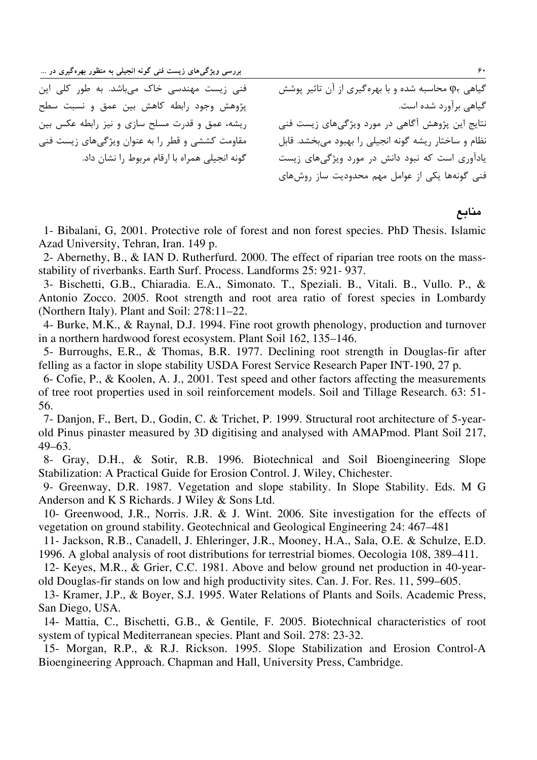بررسی ویژگیهای زیست فنی گونه انجیلی به منظور بهرهگیری در …  $\mathscr{S}\star$  جو المسي $\mathscr{S}\star$ 

.<br>فني زيست مهندسي خاک مے باشد. به طور کلي اين تفهش وجود ابطه كاهش بين عمق و نسبت سطح , بشه، عمق و قدرت مسلح سازی و نیز ,ابطه عکس بین مقاومت کششی و قطی ا به عنوان ویژگی های : بست فنی

گیاهی φ<sub>۲</sub> محاسبه شده و با بهرهگیری از آن تاثیر پوشش گیاهی برآورد شده است. .<br>نتایج آبن بژوهش آگاهی در مورد وبژگرهای : بست فنی .<br>نظام و ساختار ریشه گونه انحیلی را بهبود می<sup>لخ</sup>شد. قابل بادآوری است که نبود دانش در مورد ویژگ های : بست به به گونه انجیلی همراه با ارقام مربوط را نشان داد.<br>بادآوری است که نبود دانش در مورد ویژگ های : بست .<br>فنبر گونهها یکی از عوامل مهم محدودیت ساز روش های

مناىع

1- Bibalani, G, 2001. Protective role of forest and non forest species. PhD Thesis. Islamic Azad University, Tehran, Iran. 149 p.

2- Abernethy, B., & IAN D. Rutherfurd. 2000. The effect of riparian tree roots on the massstability of riverbanks. Earth Surf. Process. Landforms 25: 921- 937.

3- Bischetti, G.B., Chiaradia. E.A., Simonato. T., Speziali. B., Vitali. B., Vullo. P., & Antonio Zocco. 2005. Root strength and root area ratio of forest species in Lombardy (Northern Italy). Plant and Soil: 278:11–22.

4- Burke, M.K., & Raynal, D.J. 1994. Fine root growth phenology, production and turnover in a northern hardwood forest ecosystem. Plant Soil 162, 135–146.

5- Burroughs, E.R., & Thomas, B.R. 1977. Declining root strength in Douglas-fir after felling as a factor in slope stability USDA Forest Service Research Paper INT-190, 27 p.

6- Cofie, P., & Koolen, A. J., 2001. Test speed and other factors affecting the measurements of tree root properties used in soil reinforcement models. Soil and Tillage Research. 63: 51- 56.

7- Danjon, F., Bert, D., Godin, C. & Trichet, P. 1999. Structural root architecture of 5-yearold Pinus pinaster measured by 3D digitising and analysed with AMAPmod. Plant Soil 217, 49–63.

8- Gray, D.H., & Sotir, R.B. 1996. Biotechnical and Soil Bioengineering Slope Stabilization: A Practical Guide for Erosion Control. J. Wiley, Chichester.

9- Greenway, D.R. 1987. Vegetation and slope stability. In Slope Stability. Eds. M G Anderson and K S Richards. J Wiley & Sons Ltd.

10- Greenwood, J.R., Norris. J.R. & J. Wint. 2006. Site investigation for the effects of vegetation on ground stability. Geotechnical and Geological Engineering 24: 467–481

11- Jackson, R.B., Canadell, J. Ehleringer, J.R., Mooney, H.A., Sala, O.E. & Schulze, E.D. 1996. A global analysis of root distributions for terrestrial biomes. Oecologia 108, 389–411.

12- Keyes, M.R., & Grier, C.C. 1981. Above and below ground net production in 40-yearold Douglas-fir stands on low and high productivity sites. Can. J. For. Res. 11, 599–605.

13- Kramer, J.P., & Boyer, S.J. 1995. Water Relations of Plants and Soils. Academic Press, San Diego, USA.

14- Mattia, C., Bischetti, G.B., & Gentile, F. 2005. Biotechnical characteristics of root system of typical Mediterranean species. Plant and Soil. 278: 23-32.

15- Morgan, R.P., & R.J. Rickson. 1995. Slope Stabilization and Erosion Control-A Bioengineering Approach. Chapman and Hall, University Press, Cambridge.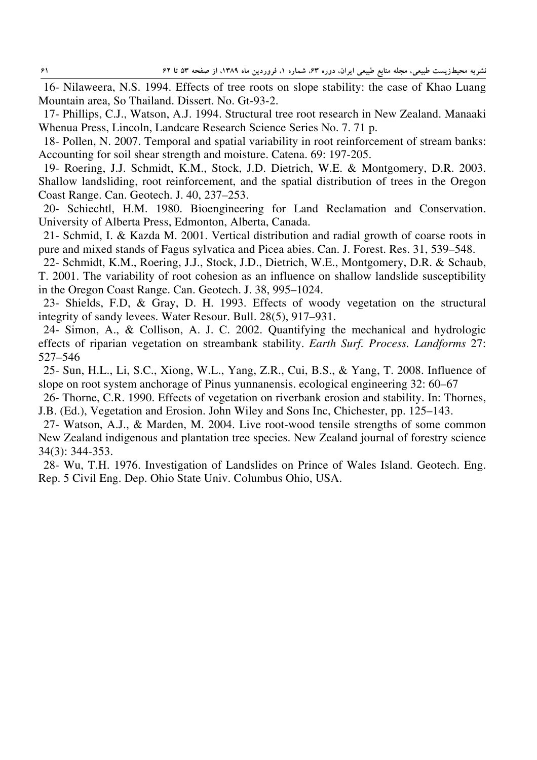16- Nilaweera, N.S. 1994. Effects of tree roots on slope stability: the case of Khao Luang Mountain area, So Thailand. Dissert. No. Gt-93-2.

17- Phillips, C.J., Watson, A.J. 1994. Structural tree root research in New Zealand. Manaaki Whenua Press, Lincoln, Landcare Research Science Series No. 7. 71 p.

18- Pollen, N. 2007. Temporal and spatial variability in root reinforcement of stream banks: Accounting for soil shear strength and moisture. Catena. 69: 197-205.

19- Roering, J.J. Schmidt, K.M., Stock, J.D. Dietrich, W.E. & Montgomery, D.R. 2003. Shallow landsliding, root reinforcement, and the spatial distribution of trees in the Oregon Coast Range. Can. Geotech. J. 40, 237–253.

20- Schiechtl, H.M. 1980. Bioengineering for Land Reclamation and Conservation. University of Alberta Press, Edmonton, Alberta, Canada.

21- Schmid, I. & Kazda M. 2001. Vertical distribution and radial growth of coarse roots in pure and mixed stands of Fagus sylvatica and Picea abies. Can. J. Forest. Res. 31, 539–548.

22- Schmidt, K.M., Roering, J.J., Stock, J.D., Dietrich, W.E., Montgomery, D.R. & Schaub, T. 2001. The variability of root cohesion as an influence on shallow landslide susceptibility in the Oregon Coast Range. Can. Geotech. J. 38, 995–1024.

23- Shields, F.D, & Gray, D. H. 1993. Effects of woody vegetation on the structural integrity of sandy levees. Water Resour. Bull. 28(5), 917–931.

24- Simon, A., & Collison, A. J. C. 2002. Quantifying the mechanical and hydrologic effects of riparian vegetation on streambank stability. *Earth Surf. Process. Landforms* 27: 527–546

25- Sun, H.L., Li, S.C., Xiong, W.L., Yang, Z.R., Cui, B.S., & Yang, T. 2008. Influence of slope on root system anchorage of Pinus yunnanensis. ecological engineering 32: 60–67

26- Thorne, C.R. 1990. Effects of vegetation on riverbank erosion and stability. In: Thornes, J.B. (Ed.), Vegetation and Erosion. John Wiley and Sons Inc, Chichester, pp. 125–143.

27- Watson, A.J., & Marden, M. 2004. Live root-wood tensile strengths of some common New Zealand indigenous and plantation tree species. New Zealand journal of forestry science 34(3): 344-353.

28- Wu, T.H. 1976. Investigation of Landslides on Prince of Wales Island. Geotech. Eng. Rep. 5 Civil Eng. Dep. Ohio State Univ. Columbus Ohio, USA.